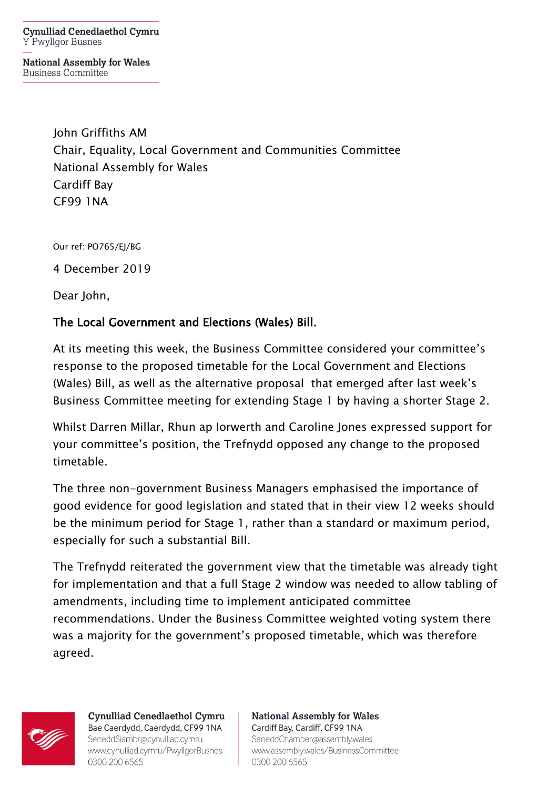**Cynulliad Cenedlaethol Cymru** Y Pwyllgor Busnes

**National Assembly for Wales Business Committee** 

> John Griffiths AM Chair, Equality, Local Government and Communities Committee National Assembly for Wales Cardiff Bay CF99 1NA

Our ref: PO765/EJ/BG

4 December 2019

Dear John,

## The Local Government and Elections (Wales) Bill.

At its meeting this week, the Business Committee considered your committee's response to the proposed timetable for the Local Government and Elections (Wales) Bill, as well as the alternative proposal that emerged after last week's Business Committee meeting for extending Stage 1 by having a shorter Stage 2.

Whilst Darren Millar, Rhun ap Iorwerth and Caroline Jones expressed support for your committee's position, the Trefnydd opposed any change to the proposed timetable.

The three non-government Business Managers emphasised the importance of good evidence for good legislation and stated that in their view 12 weeks should be the minimum period for Stage 1, rather than a standard or maximum period, especially for such a substantial Bill.

The Trefnydd reiterated the government view that the timetable was already tight for implementation and that a full Stage 2 window was needed to allow tabling of amendments, including time to implement anticipated committee recommendations. Under the Business Committee weighted voting system there was a majority for the government's proposed timetable, which was therefore agreed.



Cynulliad Cenedlaethol Cymru Bae Caerdydd, Caerdydd, CF99 1NA SeneddSiambr@cynulliad.cymru www.cynulliad.cymru/PwyllgorBusnes 0300 200 6565

**National Assembly for Wales** Cardiff Bay, Cardiff, CF99 1NA SeneddChamber@assembly.wales www.assembly.wales/BusinessCommittee 0300 200 6565